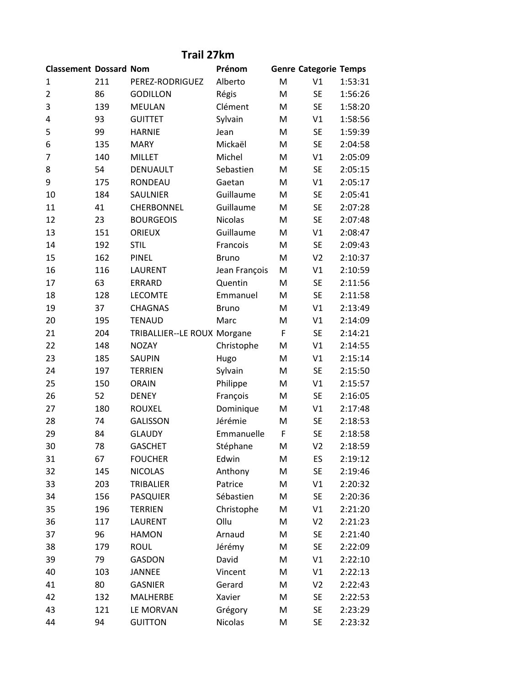## **Trail 27km**

| <b>Classement Dossard Nom</b> |     |                             | Prénom        |   | <b>Genre Categorie Temps</b> |         |
|-------------------------------|-----|-----------------------------|---------------|---|------------------------------|---------|
| 1                             | 211 | PEREZ-RODRIGUEZ             | Alberto       | M | V1                           | 1:53:31 |
| $\overline{2}$                | 86  | <b>GODILLON</b>             | Régis         | M | <b>SE</b>                    | 1:56:26 |
| 3                             | 139 | <b>MEULAN</b>               | Clément       | M | <b>SE</b>                    | 1:58:20 |
| 4                             | 93  | <b>GUITTET</b>              | Sylvain       | M | V1                           | 1:58:56 |
| 5                             | 99  | <b>HARNIE</b>               | Jean          | M | <b>SE</b>                    | 1:59:39 |
| 6                             | 135 | <b>MARY</b>                 | Mickaël       | M | <b>SE</b>                    | 2:04:58 |
| 7                             | 140 | <b>MILLET</b>               | Michel        | M | V1                           | 2:05:09 |
| 8                             | 54  | DENUAULT                    | Sebastien     | M | <b>SE</b>                    | 2:05:15 |
| 9                             | 175 | RONDEAU                     | Gaetan        | M | V1                           | 2:05:17 |
| 10                            | 184 | SAULNIER                    | Guillaume     | M | <b>SE</b>                    | 2:05:41 |
| 11                            | 41  | <b>CHERBONNEL</b>           | Guillaume     | M | <b>SE</b>                    | 2:07:28 |
| 12                            | 23  | <b>BOURGEOIS</b>            | Nicolas       | M | <b>SE</b>                    | 2:07:48 |
| 13                            | 151 | <b>ORIEUX</b>               | Guillaume     | M | V1                           | 2:08:47 |
| 14                            | 192 | <b>STIL</b>                 | Francois      | M | <b>SE</b>                    | 2:09:43 |
| 15                            | 162 | <b>PINEL</b>                | <b>Bruno</b>  | M | V <sub>2</sub>               | 2:10:37 |
| 16                            | 116 | LAURENT                     | Jean François | M | V1                           | 2:10:59 |
| 17                            | 63  | <b>ERRARD</b>               | Quentin       | M | <b>SE</b>                    | 2:11:56 |
| 18                            | 128 | <b>LECOMTE</b>              | Emmanuel      | M | <b>SE</b>                    | 2:11:58 |
| 19                            | 37  | <b>CHAGNAS</b>              | <b>Bruno</b>  | M | V1                           | 2:13:49 |
| 20                            | 195 | <b>TENAUD</b>               | Marc          | M | V1                           | 2:14:09 |
| 21                            | 204 | TRIBALLIER--LE ROUX Morgane |               | F | <b>SE</b>                    | 2:14:21 |
| 22                            | 148 | <b>NOZAY</b>                | Christophe    | M | V1                           | 2:14:55 |
| 23                            | 185 | <b>SAUPIN</b>               | Hugo          | M | V1                           | 2:15:14 |
| 24                            | 197 | <b>TERRIEN</b>              | Sylvain       | M | <b>SE</b>                    | 2:15:50 |
| 25                            | 150 | <b>ORAIN</b>                | Philippe      | M | V1                           | 2:15:57 |
| 26                            | 52  | <b>DENEY</b>                | François      | M | <b>SE</b>                    | 2:16:05 |
| 27                            | 180 | <b>ROUXEL</b>               | Dominique     | M | V1                           | 2:17:48 |
| 28                            | 74  | <b>GALISSON</b>             | Jérémie       | M | <b>SE</b>                    | 2:18:53 |
| 29                            | 84  | <b>GLAUDY</b>               | Emmanuelle    | F | <b>SE</b>                    | 2:18:58 |
| 30                            | 78  | <b>GASCHET</b>              | Stéphane      | M | V <sub>2</sub>               | 2:18:59 |
| 31                            | 67  | <b>FOUCHER</b>              | Edwin         | M | ES                           | 2:19:12 |
| 32                            | 145 | <b>NICOLAS</b>              | Anthony       | M | <b>SE</b>                    | 2:19:46 |
| 33                            | 203 | TRIBALIER                   | Patrice       | M | V1                           | 2:20:32 |
| 34                            | 156 | <b>PASQUIER</b>             | Sébastien     | M | SE                           | 2:20:36 |
| 35                            | 196 | <b>TERRIEN</b>              | Christophe    | M | V1                           | 2:21:20 |
| 36                            | 117 | LAURENT                     | Ollu          | M | V <sub>2</sub>               | 2:21:23 |
| 37                            | 96  | <b>HAMON</b>                | Arnaud        | M | <b>SE</b>                    | 2:21:40 |
| 38                            | 179 | <b>ROUL</b>                 | Jérémy        | M | <b>SE</b>                    | 2:22:09 |
| 39                            | 79  | <b>GASDON</b>               | David         | M | V1                           | 2:22:10 |
| 40                            | 103 | <b>JANNEE</b>               | Vincent       | M | V1                           | 2:22:13 |
| 41                            | 80  | <b>GASNIER</b>              | Gerard        | M | V <sub>2</sub>               | 2:22:43 |
| 42                            | 132 | MALHERBE                    | Xavier        | M | <b>SE</b>                    | 2:22:53 |
| 43                            | 121 | LE MORVAN                   | Grégory       | M | <b>SE</b>                    | 2:23:29 |
| 44                            | 94  | <b>GUITTON</b>              | Nicolas       | M | <b>SE</b>                    | 2:23:32 |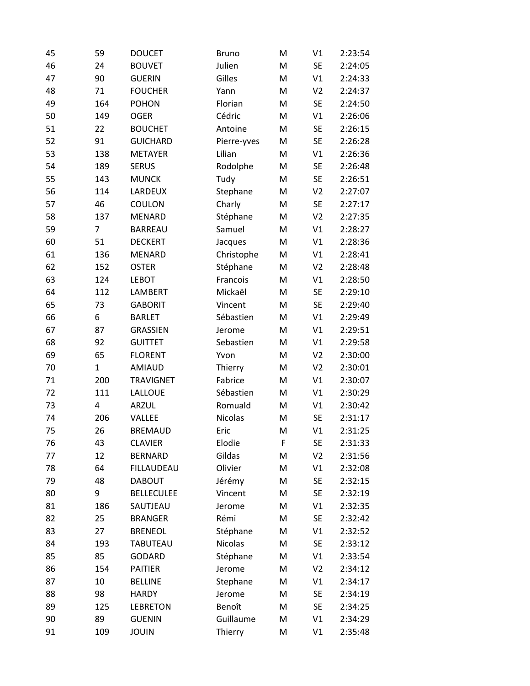| 45 | 59  | <b>DOUCET</b>     | <b>Bruno</b> | M         | V1             | 2:23:54 |
|----|-----|-------------------|--------------|-----------|----------------|---------|
| 46 | 24  | <b>BOUVET</b>     | Julien       | M         | <b>SE</b>      | 2:24:05 |
| 47 | 90  | <b>GUERIN</b>     | Gilles       | M         | V1             | 2:24:33 |
| 48 | 71  | <b>FOUCHER</b>    | Yann         | M         | V <sub>2</sub> | 2:24:37 |
| 49 | 164 | <b>POHON</b>      | Florian      | M         | <b>SE</b>      | 2:24:50 |
| 50 | 149 | <b>OGER</b>       | Cédric       | M         | V1             | 2:26:06 |
| 51 | 22  | <b>BOUCHET</b>    | Antoine      | ${\sf M}$ | <b>SE</b>      | 2:26:15 |
| 52 | 91  | <b>GUICHARD</b>   | Pierre-yves  | M         | <b>SE</b>      | 2:26:28 |
| 53 | 138 | <b>METAYER</b>    | Lilian       | M         | V1             | 2:26:36 |
| 54 | 189 | <b>SERUS</b>      | Rodolphe     | M         | <b>SE</b>      | 2:26:48 |
| 55 | 143 | <b>MUNCK</b>      | Tudy         | M         | <b>SE</b>      | 2:26:51 |
| 56 | 114 | LARDEUX           | Stephane     | M         | V <sub>2</sub> | 2:27:07 |
| 57 | 46  | COULON            | Charly       | M         | <b>SE</b>      | 2:27:17 |
| 58 | 137 | <b>MENARD</b>     | Stéphane     | M         | V <sub>2</sub> | 2:27:35 |
| 59 | 7   | <b>BARREAU</b>    | Samuel       | M         | V1             | 2:28:27 |
| 60 | 51  | <b>DECKERT</b>    | Jacques      | M         | V1             | 2:28:36 |
| 61 | 136 | <b>MENARD</b>     | Christophe   | M         | V1             | 2:28:41 |
| 62 | 152 | <b>OSTER</b>      | Stéphane     | M         | V <sub>2</sub> | 2:28:48 |
| 63 | 124 | <b>LEBOT</b>      | Francois     | M         | V1             | 2:28:50 |
| 64 | 112 | LAMBERT           | Mickaël      | M         | <b>SE</b>      | 2:29:10 |
| 65 | 73  | <b>GABORIT</b>    | Vincent      | M         | <b>SE</b>      | 2:29:40 |
| 66 | 6   | <b>BARLET</b>     | Sébastien    | M         | V1             | 2:29:49 |
| 67 | 87  | <b>GRASSIEN</b>   | Jerome       | M         | V1             | 2:29:51 |
| 68 | 92  | <b>GUITTET</b>    | Sebastien    | M         | V1             | 2:29:58 |
| 69 | 65  | <b>FLORENT</b>    | Yvon         | M         | V <sub>2</sub> | 2:30:00 |
| 70 | 1   | <b>AMIAUD</b>     | Thierry      | M         | V <sub>2</sub> | 2:30:01 |
| 71 | 200 | <b>TRAVIGNET</b>  | Fabrice      | M         | V1             | 2:30:07 |
| 72 | 111 | LALLOUE           | Sébastien    | M         | V1             | 2:30:29 |
| 73 | 4   | ARZUL             | Romuald      | M         | V1             | 2:30:42 |
| 74 | 206 | VALLEE            | Nicolas      | M         | <b>SE</b>      | 2:31:17 |
| 75 | 26  | <b>BREMAUD</b>    | Eric         | M         | V1             | 2:31:25 |
| 76 | 43  | <b>CLAVIER</b>    | Elodie       | F         | <b>SE</b>      | 2:31:33 |
| 77 | 12  | <b>BERNARD</b>    | Gildas       | M         | V <sub>2</sub> | 2:31:56 |
| 78 | 64  | FILLAUDEAU        | Olivier      | M         | V1             | 2:32:08 |
| 79 | 48  | <b>DABOUT</b>     | Jérémy       | Μ         | SE             | 2:32:15 |
| 80 | 9   | <b>BELLECULEE</b> | Vincent      | M         | <b>SE</b>      | 2:32:19 |
| 81 | 186 | SAUTJEAU          | Jerome       | M         | V1             | 2:32:35 |
| 82 | 25  | <b>BRANGER</b>    | Rémi         | M         | <b>SE</b>      | 2:32:42 |
| 83 | 27  | <b>BRENEOL</b>    | Stéphane     | M         | V1             | 2:32:52 |
| 84 | 193 | <b>TABUTEAU</b>   | Nicolas      | M         | <b>SE</b>      | 2:33:12 |
| 85 | 85  | GODARD            | Stéphane     | M         | V1             | 2:33:54 |
| 86 | 154 | PAITIER           | Jerome       | М         | V <sub>2</sub> | 2:34:12 |
| 87 | 10  | <b>BELLINE</b>    | Stephane     | M         | V1             | 2:34:17 |
| 88 | 98  | <b>HARDY</b>      | Jerome       | M         | <b>SE</b>      | 2:34:19 |
| 89 | 125 | <b>LEBRETON</b>   | Benoît       | M         | <b>SE</b>      | 2:34:25 |
| 90 | 89  | <b>GUENIN</b>     | Guillaume    | M         | V1             | 2:34:29 |
| 91 | 109 | <b>JOUIN</b>      | Thierry      | M         | V1             | 2:35:48 |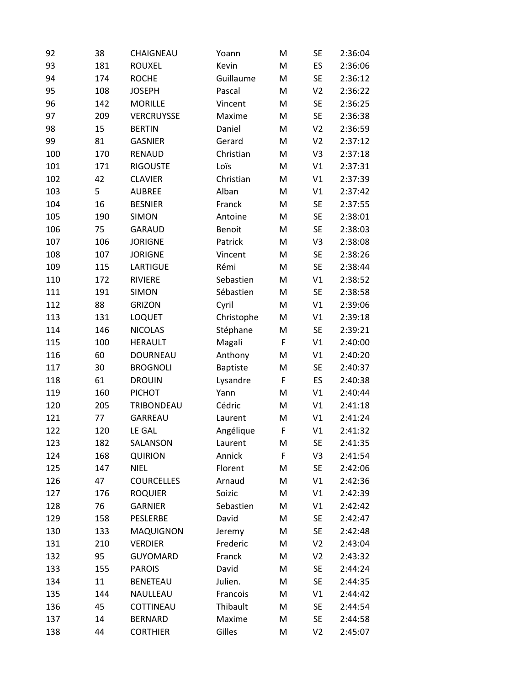| 92  | 38  | CHAIGNEAU         | Yoann           | M | <b>SE</b>      | 2:36:04 |
|-----|-----|-------------------|-----------------|---|----------------|---------|
| 93  | 181 | <b>ROUXEL</b>     | Kevin           | M | ES             | 2:36:06 |
| 94  | 174 | <b>ROCHE</b>      | Guillaume       | M | <b>SE</b>      | 2:36:12 |
| 95  | 108 | <b>JOSEPH</b>     | Pascal          | M | V <sub>2</sub> | 2:36:22 |
| 96  | 142 | <b>MORILLE</b>    | Vincent         | M | <b>SE</b>      | 2:36:25 |
| 97  | 209 | VERCRUYSSE        | Maxime          | M | <b>SE</b>      | 2:36:38 |
| 98  | 15  | <b>BERTIN</b>     | Daniel          | M | V <sub>2</sub> | 2:36:59 |
| 99  | 81  | <b>GASNIER</b>    | Gerard          | M | V <sub>2</sub> | 2:37:12 |
| 100 | 170 | RENAUD            | Christian       | M | V3             | 2:37:18 |
| 101 | 171 | <b>RIGOUSTE</b>   | Loïs            | M | V1             | 2:37:31 |
| 102 | 42  | <b>CLAVIER</b>    | Christian       | M | V1             | 2:37:39 |
| 103 | 5   | <b>AUBREE</b>     | Alban           | M | V1             | 2:37:42 |
| 104 | 16  | <b>BESNIER</b>    | Franck          | M | <b>SE</b>      | 2:37:55 |
| 105 | 190 | <b>SIMON</b>      | Antoine         | M | <b>SE</b>      | 2:38:01 |
| 106 | 75  | <b>GARAUD</b>     | Benoit          | M | <b>SE</b>      | 2:38:03 |
| 107 | 106 | <b>JORIGNE</b>    | Patrick         | M | V3             | 2:38:08 |
| 108 | 107 | <b>JORIGNE</b>    | Vincent         | M | <b>SE</b>      | 2:38:26 |
| 109 | 115 | <b>LARTIGUE</b>   | Rémi            | M | <b>SE</b>      | 2:38:44 |
| 110 | 172 | RIVIERE           | Sebastien       | M | V1             | 2:38:52 |
| 111 | 191 | <b>SIMON</b>      | Sébastien       | M | <b>SE</b>      | 2:38:58 |
| 112 | 88  | <b>GRIZON</b>     | Cyril           | M | V1             | 2:39:06 |
| 113 | 131 | <b>LOQUET</b>     | Christophe      | M | V1             | 2:39:18 |
| 114 | 146 | <b>NICOLAS</b>    | Stéphane        | M | <b>SE</b>      | 2:39:21 |
| 115 | 100 | <b>HERAULT</b>    | Magali          | F | V1             | 2:40:00 |
| 116 | 60  | <b>DOURNEAU</b>   | Anthony         | M | V1             | 2:40:20 |
| 117 | 30  | <b>BROGNOLI</b>   | <b>Baptiste</b> | M | <b>SE</b>      | 2:40:37 |
| 118 | 61  | <b>DROUIN</b>     | Lysandre        | F | ES             | 2:40:38 |
| 119 | 160 | <b>PICHOT</b>     | Yann            | M | V1             | 2:40:44 |
| 120 | 205 | TRIBONDEAU        | Cédric          | M | V1             | 2:41:18 |
| 121 | 77  | GARREAU           | Laurent         | M | V1             | 2:41:24 |
| 122 | 120 | LE GAL            | Angélique       | F | V1             | 2:41:32 |
| 123 | 182 | SALANSON          | Laurent         | M | SE             | 2:41:35 |
| 124 | 168 | <b>QUIRION</b>    | Annick          | F | V3             | 2:41:54 |
| 125 | 147 | <b>NIEL</b>       | Florent         | M | <b>SE</b>      | 2:42:06 |
| 126 | 47  | <b>COURCELLES</b> | Arnaud          | M | V1             | 2:42:36 |
| 127 | 176 | <b>ROQUIER</b>    | Soizic          | M | V1             | 2:42:39 |
| 128 | 76  | <b>GARNIER</b>    | Sebastien       | M | V1             | 2:42:42 |
| 129 | 158 | PESLERBE          | David           | M | <b>SE</b>      | 2:42:47 |
| 130 | 133 | <b>MAQUIGNON</b>  | Jeremy          | M | <b>SE</b>      | 2:42:48 |
| 131 | 210 | <b>VERDIER</b>    | Frederic        | M | V <sub>2</sub> | 2:43:04 |
| 132 | 95  | <b>GUYOMARD</b>   | Franck          | M | V <sub>2</sub> | 2:43:32 |
| 133 | 155 | <b>PAROIS</b>     | David           | Μ | SE             | 2:44:24 |
| 134 | 11  | <b>BENETEAU</b>   | Julien.         | M | SE             | 2:44:35 |
| 135 | 144 | NAULLEAU          | Francois        | M | V1             | 2:44:42 |
| 136 | 45  | COTTINEAU         | Thibault        | M | SE             | 2:44:54 |
| 137 | 14  | <b>BERNARD</b>    | Maxime          | M | <b>SE</b>      | 2:44:58 |
| 138 | 44  | <b>CORTHIER</b>   | Gilles          | M | V <sub>2</sub> | 2:45:07 |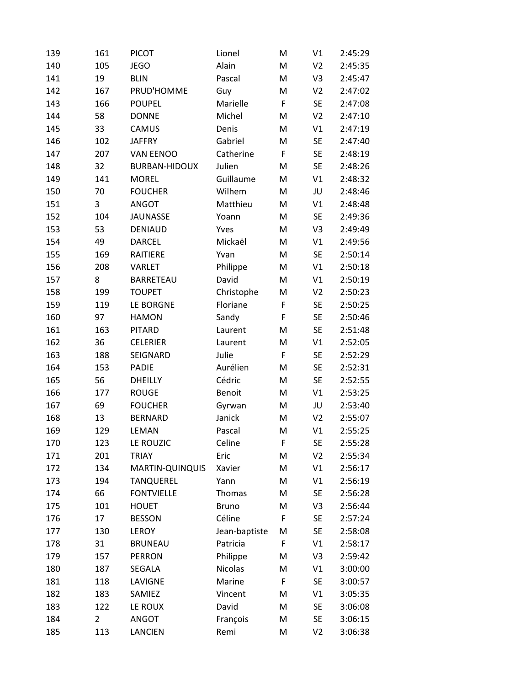| 139 | 161 | <b>PICOT</b>         | Lionel        | M | V1             | 2:45:29 |
|-----|-----|----------------------|---------------|---|----------------|---------|
| 140 | 105 | <b>JEGO</b>          | Alain         | M | V <sub>2</sub> | 2:45:35 |
| 141 | 19  | <b>BLIN</b>          | Pascal        | M | V3             | 2:45:47 |
| 142 | 167 | PRUD'HOMME           | Guy           | M | V <sub>2</sub> | 2:47:02 |
| 143 | 166 | <b>POUPEL</b>        | Marielle      | F | <b>SE</b>      | 2:47:08 |
| 144 | 58  | <b>DONNE</b>         | Michel        | M | V <sub>2</sub> | 2:47:10 |
| 145 | 33  | CAMUS                | Denis         | M | V1             | 2:47:19 |
| 146 | 102 | <b>JAFFRY</b>        | Gabriel       | M | <b>SE</b>      | 2:47:40 |
| 147 | 207 | <b>VAN EENOO</b>     | Catherine     | F | <b>SE</b>      | 2:48:19 |
| 148 | 32  | <b>BURBAN-HIDOUX</b> | Julien        | M | <b>SE</b>      | 2:48:26 |
| 149 | 141 | <b>MOREL</b>         | Guillaume     | M | V1             | 2:48:32 |
| 150 | 70  | <b>FOUCHER</b>       | Wilhem        | M | JU             | 2:48:46 |
| 151 | 3   | <b>ANGOT</b>         | Matthieu      | M | V1             | 2:48:48 |
| 152 | 104 | <b>JAUNASSE</b>      | Yoann         | M | <b>SE</b>      | 2:49:36 |
| 153 | 53  | <b>DENIAUD</b>       | Yves          | M | V3             | 2:49:49 |
| 154 | 49  | <b>DARCEL</b>        | Mickaël       | M | V1             | 2:49:56 |
| 155 | 169 | RAITIERE             | Yvan          | M | <b>SE</b>      | 2:50:14 |
| 156 | 208 | <b>VARLET</b>        | Philippe      | M | V1             | 2:50:18 |
| 157 | 8   | <b>BARRETEAU</b>     | David         | M | V1             | 2:50:19 |
| 158 | 199 | <b>TOUPET</b>        | Christophe    | M | V <sub>2</sub> | 2:50:23 |
| 159 | 119 | LE BORGNE            | Floriane      | F | <b>SE</b>      | 2:50:25 |
| 160 | 97  | <b>HAMON</b>         | Sandy         | F | <b>SE</b>      | 2:50:46 |
| 161 | 163 | <b>PITARD</b>        | Laurent       | M | <b>SE</b>      | 2:51:48 |
| 162 | 36  | <b>CELERIER</b>      | Laurent       | M | V1             | 2:52:05 |
| 163 | 188 | SEIGNARD             | Julie         | F | <b>SE</b>      | 2:52:29 |
| 164 | 153 | <b>PADIE</b>         | Aurélien      | M | <b>SE</b>      | 2:52:31 |
| 165 | 56  | <b>DHEILLY</b>       | Cédric        | M | <b>SE</b>      | 2:52:55 |
| 166 | 177 | <b>ROUGE</b>         | <b>Benoit</b> | M | V1             | 2:53:25 |
| 167 | 69  | <b>FOUCHER</b>       | Gyrwan        | M | JU             | 2:53:40 |
| 168 | 13  | <b>BERNARD</b>       | Janick        | M | V <sub>2</sub> | 2:55:07 |
| 169 | 129 | LEMAN                | Pascal        | M | V1             | 2:55:25 |
| 170 | 123 | LE ROUZIC            | Celine        | F | <b>SE</b>      | 2:55:28 |
| 171 | 201 | <b>TRIAY</b>         | Eric          | M | V <sub>2</sub> | 2:55:34 |
| 172 | 134 | MARTIN-QUINQUIS      | Xavier        | M | V1             | 2:56:17 |
| 173 | 194 | <b>TANQUEREL</b>     | Yann          | M | V1             | 2:56:19 |
| 174 | 66  | <b>FONTVIELLE</b>    | Thomas        | M | <b>SE</b>      | 2:56:28 |
| 175 | 101 | <b>HOUET</b>         | <b>Bruno</b>  | M | V3             | 2:56:44 |
| 176 | 17  | <b>BESSON</b>        | Céline        | F | <b>SE</b>      | 2:57:24 |
| 177 | 130 | LEROY                | Jean-baptiste | M | <b>SE</b>      | 2:58:08 |
| 178 | 31  | <b>BRUNEAU</b>       | Patricia      | F | V1             | 2:58:17 |
| 179 | 157 | <b>PERRON</b>        | Philippe      | M | V3             | 2:59:42 |
| 180 | 187 | SEGALA               | Nicolas       | M | V1             | 3:00:00 |
| 181 | 118 | LAVIGNE              | Marine        | F | <b>SE</b>      | 3:00:57 |
| 182 | 183 | SAMIEZ               | Vincent       | M | V1             | 3:05:35 |
| 183 | 122 | LE ROUX              | David         | M | <b>SE</b>      | 3:06:08 |
| 184 | 2   | <b>ANGOT</b>         | François      | M | <b>SE</b>      | 3:06:15 |
| 185 | 113 | LANCIEN              | Remi          | M | V <sub>2</sub> | 3:06:38 |